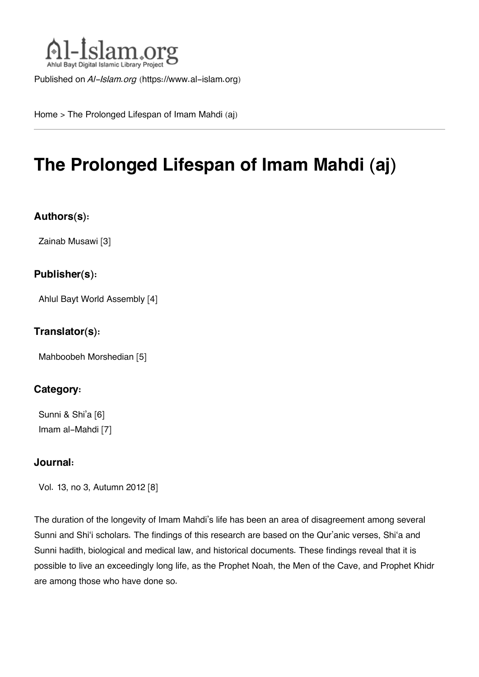

Published on *Al-Islam.org* ([https://www.al-islam.org\)](https://www.al-islam.org)

[Home](https://www.al-islam.org/) > The Prolonged Lifespan of Imam Mahdi (aj)

# **The Prolonged Lifespan of Imam Mahdi (aj)**

### **Authors(s):**

[Zainab Musawi](https://www.al-islam.org/person/zainab-musawi) [3]

#### **Publisher(s):**

[Ahlul Bayt World Assembly](https://www.al-islam.org/organization/ahlul-bayt-world-assembly) [4]

#### **Translator(s):**

[Mahboobeh Morshedian](https://www.al-islam.org/person/mahboobeh-morshedian) [5]

### **Category:**

[Sunni & Shi'a](https://www.al-islam.org/library/sunni-shia) [6] [Imam al-Mahdi](https://www.al-islam.org/library/imam-al-mahdi) [7]

#### **Journal:**

[Vol. 13, no 3, Autumn 2012](https://www.al-islam.org/journals/vol-13-no-3-autumn-2012) [8]

The duration of the longevity of Imam Mahdi's life has been an area of disagreement among several Sunni and Shi'i scholars. The findings of this research are based on the Qur'anic verses, Shi'a and Sunni hadith, biological and medical law, and historical documents. These findings reveal that it is possible to live an exceedingly long life, as the Prophet Noah, the Men of the Cave, and Prophet Khidr are among those who have done so.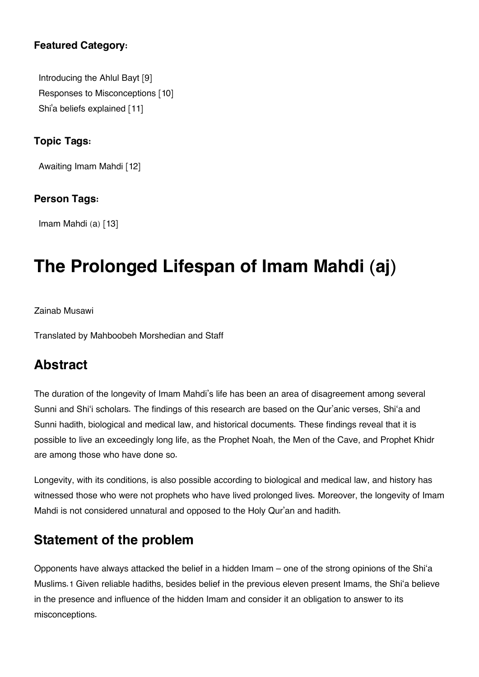### **Featured Category:**

[Introducing the Ahlul Bayt](https://www.al-islam.org/feature/introducing-ahlul-bayt) [9] [Responses to Misconceptions](https://www.al-islam.org/feature/responses-misconceptions) [10] Shi['a beliefs explained](https://www.al-islam.org/feature/shia-beliefs-explained) [11]

### **Topic Tags:**

[Awaiting Imam Mahdi](https://www.al-islam.org/tags/awaiting-imam-mahdi) [12]

### **Person Tags:**

[Imam Mahdi \(a\)](https://www.al-islam.org/person/imam-al-mahdi) [13]

# **The Prolonged Lifespan of Imam Mahdi (aj)**

Zainab Musawi

Translated by Mahboobeh Morshedian and Staff

# **[Abstract](#page--1-0)**

The duration of the longevity of Imam Mahdi's life has been an area of disagreement among several Sunni and Shi'i scholars. The findings of this research are based on the Qur'anic verses, Shi'a and Sunni hadith, biological and medical law, and historical documents. These findings reveal that it is possible to live an exceedingly long life, as the Prophet Noah, the Men of the Cave, and Prophet Khidr are among those who have done so.

Longevity, with its conditions, is also possible according to biological and medical law, and history has witnessed those who were not prophets who have lived prolonged lives. Moreover, the longevity of Imam Mahdi is not considered unnatural and opposed to the Holy Qur'an and hadith.

# **[Statement of the problem](#page--1-0)**

Opponents have always attacked the belief in a hidden Imam – one of the strong opinions of the Shi'a Muslims.[1](#page--1-0) Given reliable hadiths, besides belief in the previous eleven present Imams, the Shi'a believe in the presence and influence of the hidden Imam and consider it an obligation to answer to its misconceptions.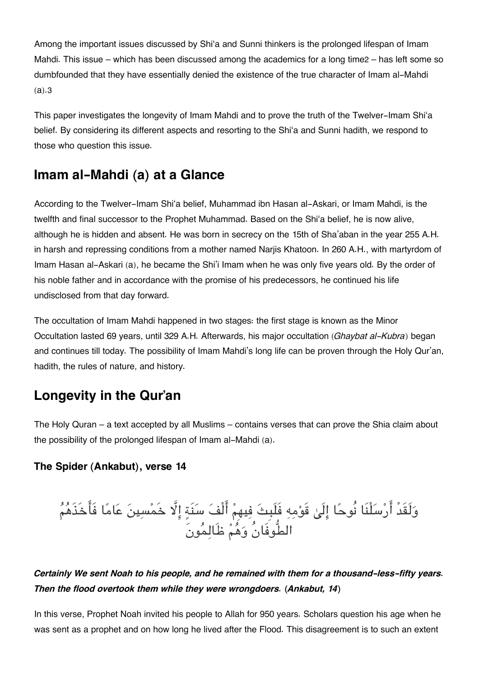Among the important issues discussed by Shi'a and Sunni thinkers is the prolonged lifespan of Imam Mahdi. This issue – which has been discussed among the academics for a long time[2](#page--1-0) – has left some so dumbfounded that they have essentially denied the existence of the true character of Imam al-Mahdi (a).[3](#page--1-0)

This paper investigates the longevity of Imam Mahdi and to prove the truth of the Twelver-Imam Shi'a belief. By considering its different aspects and resorting to the Shi'a and Sunni hadith, we respond to those who question this issue.

### **[Imam al-Mahdi \(a\) at a Glance](#page--1-0)**

According to the Twelver-Imam Shi'a belief, Muhammad ibn Hasan al-Askari, or Imam Mahdi, is the twelfth and final successor to the Prophet Muhammad. Based on the Shi'a belief, he is now alive, although he is hidden and absent. He was born in secrecy on the 15th of Sha'aban in the year 255 A.H. in harsh and repressing conditions from a mother named Narjis Khatoon. In 260 A.H., with martyrdom of Imam Hasan al-Askari (a), he became the Shi'i Imam when he was only five years old. By the order of his noble father and in accordance with the promise of his predecessors, he continued his life undisclosed from that day forward.

The occultation of Imam Mahdi happened in two stages: the first stage is known as the Minor Occultation lasted 69 years, until 329 A.H. Afterwards, his major occultation (*Ghaybat al-Kubra*) began and continues till today. The possibility of Imam Mahdi's long life can be proven through the Holy Qur'an, hadith, the rules of nature, and history.

# **[Longevity in the Qur'an](#page--1-0)**

The Holy Quran – a text accepted by all Muslims – contains verses that can prove the Shia claim about the possibility of the prolonged lifespan of Imam al-Mahdi (a).

#### **[The Spider \(Ankabut\), verse 14](#page--1-0)**

وَلَقَدَ أَرْسَلْنَا نُوحًا إِلَىٰ قَوْمِهِ فَلَبِثَ فِيهِمْ الْفَ سَنَةٍ إِلَّا خَمْسِينَ عَامًا فَاخَذَهُمُ الطُّوفَانُ وهم ظَالمونَ

### *Certainly We sent Noah to his people, and he remained with them for a thousand-less-fifty years. Then the flood overtook them while they were wrongdoers. (Ankabut, 14)*

In this verse, Prophet Noah invited his people to Allah for 950 years. Scholars question his age when he was sent as a prophet and on how long he lived after the Flood. This disagreement is to such an extent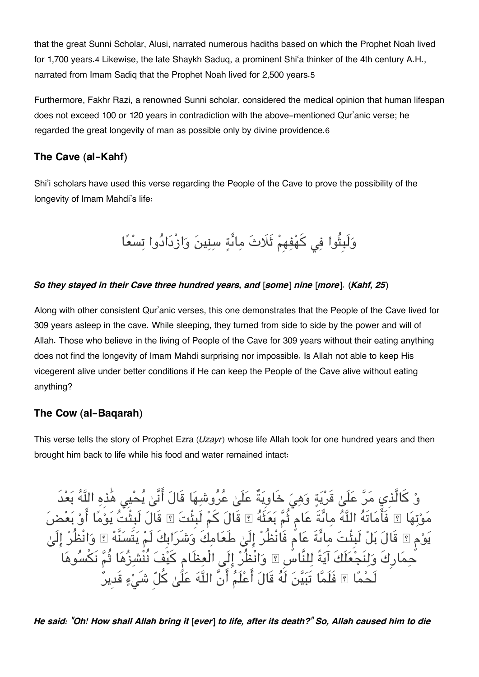that the great Sunni Scholar, Alusi, narrated numerous hadiths based on which the Prophet Noah lived for 1,700 years.[4](#page--1-0) Likewise, the late Shaykh Saduq, a prominent Shi'a thinker of the 4th century A.H., narrated from Imam Sadiq that the Prophet Noah lived for 2,500 years.[5](#page--1-0)

Furthermore, Fakhr Razi, a renowned Sunni scholar, considered the medical opinion that human lifespan does not exceed 100 or 120 years in contradiction with the above-mentioned Qur'anic verse; he regarded the great longevity of man as possible only by divine providence.[6](#page--1-0)

### **[The Cave \(al-Kahf\)](#page--1-0)**

Shi'i scholars have used this verse regarding the People of the Cave to prove the possibility of the longevity of Imam Mahdi's life:

وَلَبِثُوا فِي كَهْفِهِمْ ثَلَاتَ مِائَةٍ سِنِينَ وَازْدَادُوا تِسْعًا

#### *So they stayed in their Cave three hundred years, and [some] nine [more]. (Kahf, 25)*

Along with other consistent Qur'anic verses, this one demonstrates that the People of the Cave lived for 309 years asleep in the cave. While sleeping, they turned from side to side by the power and will of Allah. Those who believe in the living of People of the Cave for 309 years without their eating anything does not find the longevity of Imam Mahdi surprising nor impossible. Is Allah not able to keep His vicegerent alive under better conditions if He can keep the People of the Cave alive without eating anything?

### **[The Cow \(al-Baqarah\)](#page--1-0)**

This verse tells the story of Prophet Ezra (*Uzayr*) whose life Allah took for one hundred years and then brought him back to life while his food and water remained intact:

وْ كَالَّذِي مَرَّ عَلَىٰ قَرْيَةٍ وَهِيَ خَاوِيَةٌ عَلَىٰ عُرُوشِهَا قَالَ أَنَّىٰ يُحْيِي هٰذِهِ اللَّهُ بَعْدَ مَوْتِهَا ۞ فَامَاتَهُ اللَّهُ مِائَةً عَامٍ ثُمَّ بَعَثَهُ ۞ قَالَ كُمْ لَبِثْتَ قَالَ لَبِثْتَ يَوْمَا أَوْ بَعْضَ يَوْم ۞ قَالَ بَلْ لبِثْتَ مِائَةً عَام فَانْظُرْ إِلَىٰ طَعَامِكَ وَشَرَابِكَ لَمْ يَتَسَنَّهُ ۞ وَانْظُرْ إِلَىٰ حِمَارِكَ وَلِنَجْعَلَكَ آيَةً لِلنَّاسِ ۩ وَانْظُرْ إِلَى الْعِظَام كَيْفَ نُنْشِزُهَا ثُمَّ نَكْسُوهَا لَحْمًا ۞ فَلَمَّا تَبَيَّنَ لَهُ قَالَ أَعْلَمُ أَنَّ اللَّهَ عَلَّىٰ كُلّ شَے ْءٍ قَديرُ

*He said: "Oh! How shall Allah bring it [ever] to life, after its death?" So, Allah caused him to die*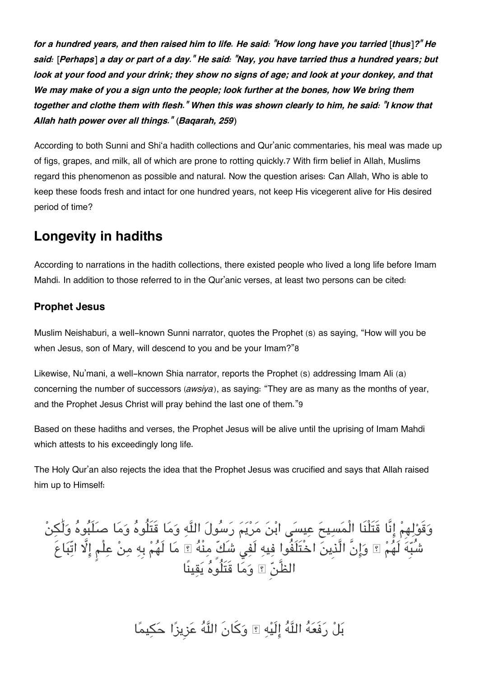*for a hundred years, and then raised him to life. He said: "How long have you tarried [thus]?" He said: [Perhaps] a day or part of a day." He said: "Nay, you have tarried thus a hundred years; but look at your food and your drink; they show no signs of age; and look at your donkey, and that We may make of you a sign unto the people; look further at the bones, how We bring them together and clothe them with flesh." When this was shown clearly to him, he said: "I know that Allah hath power over all things." (Baqarah, 259)*

According to both Sunni and Shi'a hadith collections and Qur'anic commentaries, his meal was made up of figs, grapes, and milk, all of which are prone to rotting quickly.[7](#page--1-0) With firm belief in Allah, Muslims regard this phenomenon as possible and natural. Now the question arises: Can Allah, Who is able to keep these foods fresh and intact for one hundred years, not keep His vicegerent alive for His desired period of time?

### **[Longevity in hadiths](#page--1-0)**

According to narrations in the hadith collections, there existed people who lived a long life before Imam Mahdi. In addition to those referred to in the Qur'anic verses, at least two persons can be cited:

### **[Prophet Jesus](#page--1-0)**

Muslim Neishaburi, a well-known Sunni narrator, quotes the Prophet (s) as saying, "How will you be when Jesus, son of Mary, will descend to you and be your Imam?"[8](#page--1-0)

Likewise, Nu'mani, a well-known Shia narrator, reports the Prophet (s) addressing Imam Ali (a) concerning the number of successors (*awsiya*), as saying: "They are as many as the months of year, and the Prophet Jesus Christ will pray behind the last one of them."[9](#page--1-0)

Based on these hadiths and verses, the Prophet Jesus will be alive until the uprising of Imam Mahdi which attests to his exceedingly long life.

The Holy Qur'an also rejects the idea that the Prophet Jesus was crucified and says that Allah raised him up to Himself:

وقَولهِم انَّا قَتَلْنَا الْمسيح عيس ابن مريم رسول اله وما قَتَلُوه وما صلَبوه ولَٰن شُبِه لَهم ۚ وانَّ الَّذِين اخْتَلَفُوا فيه لَف شَكٍّ منْه ۚ ما لَهم بِه من علْم ا اتّباعَ الظَّن ۚ وما قَتَلُوه يقينًا

بل رفَعه اله الَيه ۚ وكانَ اله عزِيزا حيما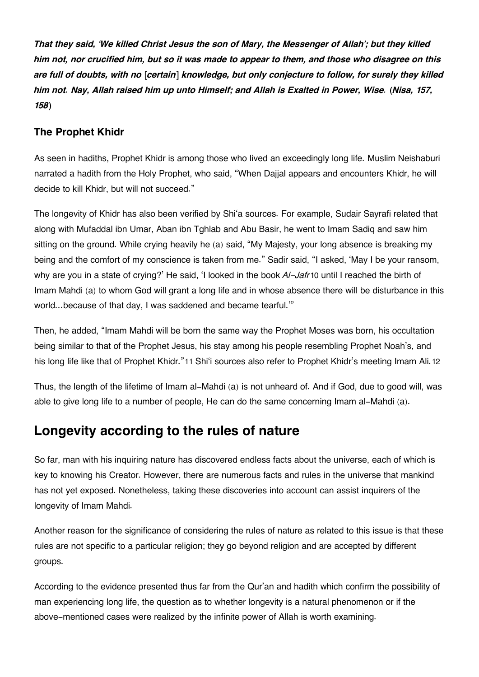*That they said, 'We killed Christ Jesus the son of Mary, the Messenger of Allah'; but they killed him not, nor crucified him, but so it was made to appear to them, and those who disagree on this are full of doubts, with no [certain] knowledge, but only conjecture to follow, for surely they killed him not. Nay, Allah raised him up unto Himself; and Allah is Exalted in Power, Wise. (Nisa, 157, 158)*

### **[The Prophet Khidr](#page--1-0)**

As seen in hadiths, Prophet Khidr is among those who lived an exceedingly long life. Muslim Neishaburi narrated a hadith from the Holy Prophet, who said, "When Dajjal appears and encounters Khidr, he will decide to kill Khidr, but will not succeed."

The longevity of Khidr has also been verified by Shi'a sources. For example, Sudair Sayrafi related that along with Mufaddal ibn Umar, Aban ibn Tghlab and Abu Basir, he went to Imam Sadiq and saw him sitting on the ground. While crying heavily he (a) said, "My Majesty, your long absence is breaking my being and the comfort of my conscience is taken from me." Sadir said, "I asked, 'May I be your ransom, why are you in a state of crying?' He said, 'I looked in the book *Al-Jafr*[10](#page--1-0) until I reached the birth of Imam Mahdi (a) to whom God will grant a long life and in whose absence there will be disturbance in this world…because of that day, I was saddened and became tearful.'"

Then, he added, "Imam Mahdi will be born the same way the Prophet Moses was born, his occultation being similar to that of the Prophet Jesus, his stay among his people resembling Prophet Noah's, and his long life like that of Prophet Khidr."[11](#page--1-0) Shi'i sources also refer to Prophet Khidr's meeting Imam Ali.[12](#page--1-0)

Thus, the length of the lifetime of Imam al-Mahdi (a) is not unheard of. And if God, due to good will, was able to give long life to a number of people, He can do the same concerning Imam al-Mahdi (a).

# **[Longevity according to the rules of nature](#page--1-0)**

So far, man with his inquiring nature has discovered endless facts about the universe, each of which is key to knowing his Creator. However, there are numerous facts and rules in the universe that mankind has not yet exposed. Nonetheless, taking these discoveries into account can assist inquirers of the longevity of Imam Mahdi.

Another reason for the significance of considering the rules of nature as related to this issue is that these rules are not specific to a particular religion; they go beyond religion and are accepted by different groups.

According to the evidence presented thus far from the Qur'an and hadith which confirm the possibility of man experiencing long life, the question as to whether longevity is a natural phenomenon or if the above-mentioned cases were realized by the infinite power of Allah is worth examining.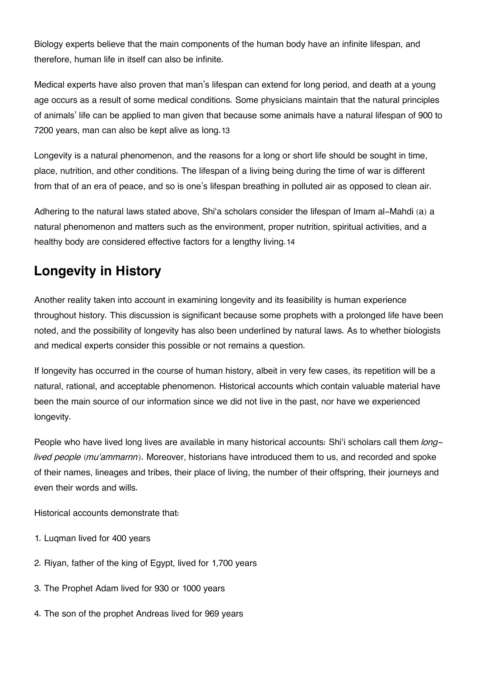Biology experts believe that the main components of the human body have an infinite lifespan, and therefore, human life in itself can also be infinite.

Medical experts have also proven that man's lifespan can extend for long period, and death at a young age occurs as a result of some medical conditions. Some physicians maintain that the natural principles of animals' life can be applied to man given that because some animals have a natural lifespan of 900 to 7200 years, man can also be kept alive as long.[13](#page--1-0)

Longevity is a natural phenomenon, and the reasons for a long or short life should be sought in time, place, nutrition, and other conditions. The lifespan of a living being during the time of war is different from that of an era of peace, and so is one's lifespan breathing in polluted air as opposed to clean air.

Adhering to the natural laws stated above, Shi'a scholars consider the lifespan of Imam al-Mahdi (a) a natural phenomenon and matters such as the environment, proper nutrition, spiritual activities, and a healthy body are considered effective factors for a lengthy living.[14](#page--1-0)

# **[Longevity in History](#page--1-0)**

Another reality taken into account in examining longevity and its feasibility is human experience throughout history. This discussion is significant because some prophets with a prolonged life have been noted, and the possibility of longevity has also been underlined by natural laws. As to whether biologists and medical experts consider this possible or not remains a question.

If longevity has occurred in the course of human history, albeit in very few cases, its repetition will be a natural, rational, and acceptable phenomenon. Historical accounts which contain valuable material have been the main source of our information since we did not live in the past, nor have we experienced longevity.

People who have lived long lives are available in many historical accounts: Shi'i scholars call them *longlived people* (*mu'ammarnn*). Moreover, historians have introduced them to us, and recorded and spoke of their names, lineages and tribes, their place of living, the number of their offspring, their journeys and even their words and wills.

Historical accounts demonstrate that:

- 1. Luqman lived for 400 years
- 2. Riyan, father of the king of Egypt, lived for 1,700 years
- 3. The Prophet Adam lived for 930 or 1000 years
- 4. The son of the prophet Andreas lived for 969 years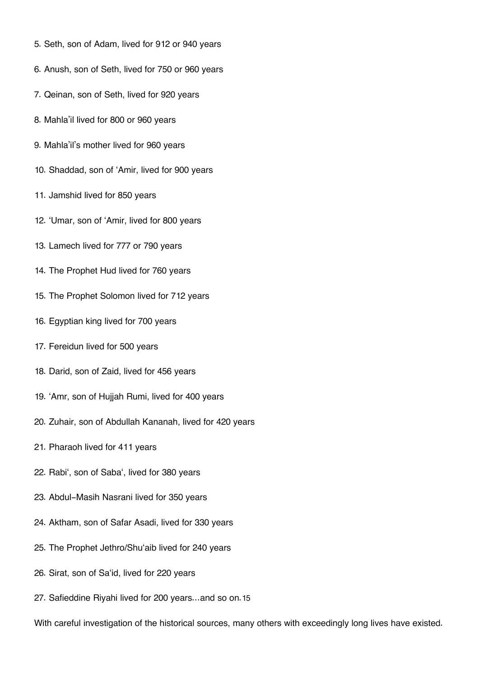- 5. Seth, son of Adam, lived for 912 or 940 years
- 6. Anush, son of Seth, lived for 750 or 960 years
- 7. Qeinan, son of Seth, lived for 920 years
- 8. Mahla'il lived for 800 or 960 years
- 9. Mahla'il's mother lived for 960 years
- 10. Shaddad, son of 'Amir, lived for 900 years
- 11. Jamshid lived for 850 years
- 12. 'Umar, son of 'Amir, lived for 800 years
- 13. Lamech lived for 777 or 790 years
- 14. The Prophet Hud lived for 760 years
- 15. The Prophet Solomon lived for 712 years
- 16. Egyptian king lived for 700 years
- 17. Fereidun lived for 500 years
- 18. Darid, son of Zaid, lived for 456 years
- 19. 'Amr, son of Hujjah Rumi, lived for 400 years
- 20. Zuhair, son of Abdullah Kananah, lived for 420 years
- 21. Pharaoh lived for 411 years
- 22. Rabi', son of Saba', lived for 380 years
- 23. Abdul-Masih Nasrani lived for 350 years
- 24. Aktham, son of Safar Asadi, lived for 330 years
- 25. The Prophet Jethro/Shu'aib lived for 240 years
- 26. Sirat, son of Sa'id, lived for 220 years
- 27. Safieddine Riyahi lived for 200 years…and so on.[15](#page--1-0)

With careful investigation of the historical sources, many others with exceedingly long lives have existed.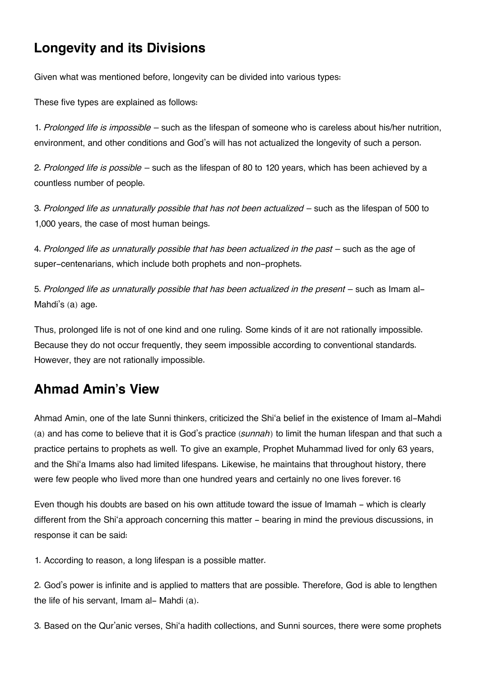# **[Longevity and its Divisions](#page--1-0)**

Given what was mentioned before, longevity can be divided into various types:

These five types are explained as follows:

1. *Prolonged life is impossible* – such as the lifespan of someone who is careless about his/her nutrition, environment, and other conditions and God's will has not actualized the longevity of such a person.

2. *Prolonged life is possible* – such as the lifespan of 80 to 120 years, which has been achieved by a countless number of people.

3. *Prolonged life as unnaturally possible that has not been actualized* – such as the lifespan of 500 to 1,000 years, the case of most human beings.

4. *Prolonged life as unnaturally possible that has been actualized in the past* – such as the age of super-centenarians, which include both prophets and non-prophets.

5. *Prolonged life as unnaturally possible that has been actualized in the present* – such as Imam al-Mahdi's (a) age.

Thus, prolonged life is not of one kind and one ruling. Some kinds of it are not rationally impossible. Because they do not occur frequently, they seem impossible according to conventional standards. However, they are not rationally impossible.

# **[Ahmad Amin's View](#page--1-0)**

Ahmad Amin, one of the late Sunni thinkers, criticized the Shi'a belief in the existence of Imam al-Mahdi (a) and has come to believe that it is God's practice (*sunnah*) to limit the human lifespan and that such a practice pertains to prophets as well. To give an example, Prophet Muhammad lived for only 63 years, and the Shi'a Imams also had limited lifespans. Likewise, he maintains that throughout history, there were few people who lived more than one hundred years and certainly no one lives forever.[16](#page--1-0)

Even though his doubts are based on his own attitude toward the issue of Imamah - which is clearly different from the Shi'a approach concerning this matter - bearing in mind the previous discussions, in response it can be said:

1. According to reason, a long lifespan is a possible matter.

2. God's power is infinite and is applied to matters that are possible. Therefore, God is able to lengthen the life of his servant, Imam al- Mahdi (a).

3. Based on the Qur'anic verses, Shi'a hadith collections, and Sunni sources, there were some prophets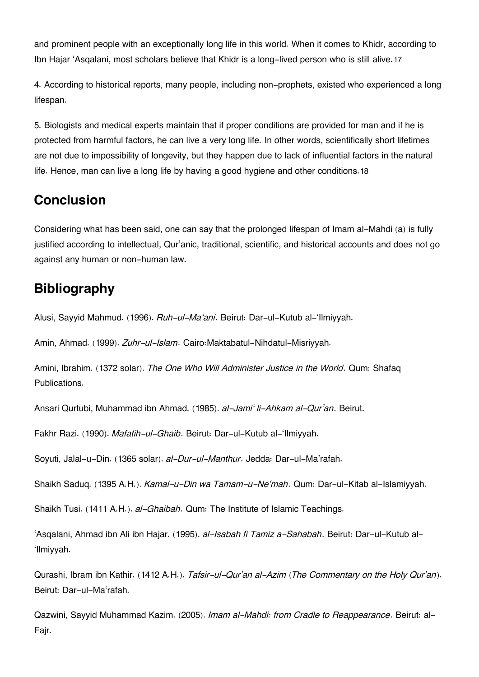and prominent people with an exceptionally long life in this world. When it comes to Khidr, according to Ibn Hajar 'Asqalani, most scholars believe that Khidr is a long-lived person who is still alive.[17](#page--1-0)

4. According to historical reports, many people, including non-prophets, existed who experienced a long lifespan.

5. Biologists and medical experts maintain that if proper conditions are provided for man and if he is protected from harmful factors, he can live a very long life. In other words, scientifically short lifetimes are not due to impossibility of longevity, but they happen due to lack of influential factors in the natural life. Hence, man can live a long life by having a good hygiene and other conditions.[18](#page--1-0)

# **[Conclusion](#page--1-0)**

Considering what has been said, one can say that the prolonged lifespan of Imam al-Mahdi (a) is fully justified according to intellectual, Qur'anic, traditional, scientific, and historical accounts and does not go against any human or non-human law.

# **[Bibliography](#page--1-0)**

Alusi, Sayyid Mahmud. (1996). *Ruh-ul-Ma'ani*. Beirut: Dar-ul-Kutub al-'Ilmiyyah.

Amin, Ahmad. (1999). *Zuhr-ul-Islam*. Cairo:Maktabatul-Nihdatul-Misriyyah.

Amini, Ibrahim. (1372 solar). *The One Who Will Administer Justice in the World*. Qum: Shafaq Publications.

Ansari Qurtubi, Muhammad ibn Ahmad. (1985). *al-Jami' li-Ahkam al-Qur'an*. Beirut.

Fakhr Razi. (1990). *Mafatih-ul-Ghaib*. Beirut: Dar-ul-Kutub al-'Ilmiyyah.

Soyuti, Jalal-u-Din. (1365 solar). *al-Dur-ul-Manthur*. Jedda: Dar-ul-Ma'rafah.

Shaikh Saduq. (1395 A.H.). *Kamal-u-Din wa Tamam-u-Ne'mah*. Qum: Dar-ul-Kitab al-Islamiyyah.

Shaikh Tusi. (1411 A.H.). *al-Ghaibah*. Qum: The Institute of Islamic Teachings.

'Asqalani, Ahmad ibn Ali ibn Hajar. (1995). *al-Isabah fi Tamiz a-Sahabah*. Beirut: Dar-ul-Kutub al- 'Ilmiyyah.

Qurashi, Ibram ibn Kathir. (1412 A.H.). *Tafsir-ul-Qur'an al-Azim (The Commentary on the Holy Qur'an)*. Beirut: Dar-ul-Ma'rafah.

Qazwini, Sayyid Muhammad Kazim. (2005). *Imam al-Mahdi: from Cradle to Reappearance*. Beirut: al-Fajr.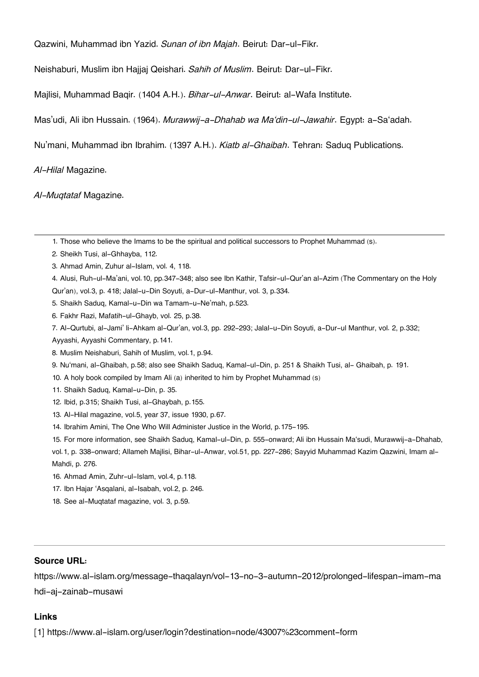Qazwini, Muhammad ibn Yazid. *Sunan of ibn Majah*. Beirut: Dar-ul-Fikr.

Neishaburi, Muslim ibn Hajjaj Qeishari. *Sahih of Muslim*. Beirut: Dar-ul-Fikr.

Majlisi, Muhammad Baqir. (1404 A.H.). *Bihar-ul-Anwar*. Beirut: al-Wafa Institute.

Mas'udi, Ali ibn Hussain. (1964). *Murawwij-a-Dhahab wa Ma'din-ul-Jawahir*. Egypt: a-Sa'adah.

Nu'mani, Muhammad ibn Ibrahim. (1397 A.H.). *Kiatb al-Ghaibah*. Tehran: Saduq Publications.

*Al-Hilal* Magazine.

*Al-Muqtataf* Magazine.

- [2.](#page--1-0) Sheikh Tusi, al-Ghhayba, 112.
- [3.](#page--1-0) Ahmad Amin, Zuhur al-Islam, vol. 4, 118.
- [4.](#page--1-0) Alusi, Ruh-ul-Ma'ani, vol.10, pp.347-348; also see Ibn Kathir, Tafsir-ul-Qur'an al-Azim (The Commentary on the Holy
- Qur'an), vol.3, p. 418; Jalal-u-Din Soyuti, a-Dur-ul-Manthur, vol. 3, p.334.
- [5.](#page--1-0) Shaikh Saduq, Kamal-u-Din wa Tamam-u-Ne'mah, p.523.
- [6.](#page--1-0) Fakhr Razi, Mafatih-ul-Ghayb, vol. 25, p.38.
- [7.](#page--1-0) Al-Qurtubi, al-Jami' li-Ahkam al-Qur'an, vol.3, pp. 292-293; Jalal-u-Din Soyuti, a-Dur-ul Manthur, vol. 2, p.332;
- Ayyashi, Ayyashi Commentary, p.141.
- [8.](#page--1-0) Muslim Neishaburi, Sahih of Muslim, vol.1, p.94.
- [9.](#page--1-0) Nu'mani, al-Ghaibah, p.58; also see Shaikh Saduq, Kamal-ul-Din, p. 251 & Shaikh Tusi, al- Ghaibah, p. 191.
- [10.](#page--1-0) A holy book compiled by Imam Ali (a) inherited to him by Prophet Muhammad (s)
- [11.](#page--1-0) Shaikh Saduq, Kamal-u-Din, p. 35.
- [12.](#page--1-0) Ibid, p.315; Shaikh Tusi, al-Ghaybah, p.155.
- [13.](#page--1-0) Al-Hilal magazine, vol.5, year 37, issue 1930, p.67.
- [14.](#page--1-0) Ibrahim Amini, The One Who Will Administer Justice in the World, p.175-195.

[15.](#page--1-0) For more information, see Shaikh Saduq, Kamal-ul-Din, p. 555-onward; Ali ibn Hussain Ma'sudi, Murawwij-a-Dhahab,

vol.1, p. 338-onward; Allameh Majlisi, Bihar-ul-Anwar, vol.51, pp. 227-286; Sayyid Muhammad Kazim Qazwini, Imam al-Mahdi, p. 276.

- [16.](#page--1-0) Ahmad Amin, Zuhr-ul-Islam, vol.4, p.118.
- [17.](#page--1-0) Ibn Hajar 'Asqalani, al-Isabah, vol.2, p. 246.
- [18.](#page--1-0) See al-Muqtataf magazine, vol. 3, p.59.

#### **Source URL:**

https://www.al-islam.org/message-thaqalayn/vol-13-no-3-autumn-2012/prolonged-lifespan-imam-ma hdi-aj-zainab-musawi

#### **Links**

[1] https://www.al-islam.org/user/login?destination=node/43007%23comment-form

[<sup>1.</sup>](#page--1-0) Those who believe the Imams to be the spiritual and political successors to Prophet Muhammad (s).